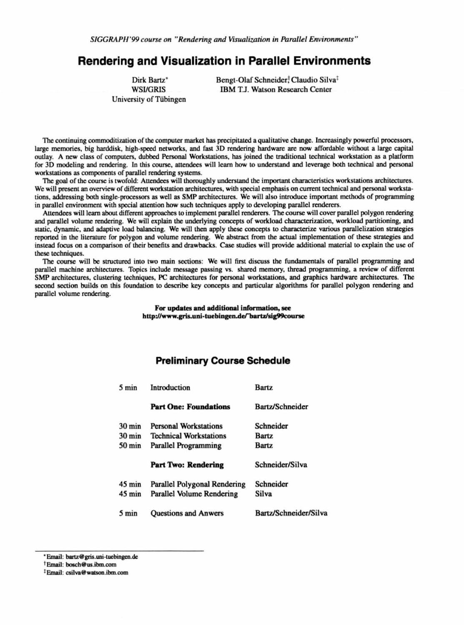# **Rendering and Visualization in Parallel Environments**

Dirk Bartz\* **WSI/GRIS** University of Tübingen Bengt-Olaf Schneider, Claudio Silva<sup>†</sup> IBM T.J. Watson Research Center

The continuing commoditization of the computer market has precipitated a qualitative change. Increasingly powerful processors, large memories, big harddisk, high-speed networks, and fast 30 rendering hardware are now affordable without a large capital outlay. A new class of computers, dubbed Personal Workstations, has joined the traditional technical workstation as a platform for 3D modeling and rendering. In this course, attendees will learn how to understand and leverage both technical and personal workstations as components of parallel rendering systems.

The goal of the course is twofold: Attendees will thoroughly understand the important characlcristics workstations architectures. We will present an overview of different workstation architectures, with special emphasis on current technical and personal workstations, addressing both single-processors as well as SMP architectures. We will also introduce important methods of programming in parallel environment with special attention how such techniques apply to developing parallel renderers.

AllCndecs will learn about different approaches to implement parallel renderers. The course will cover parallel polygon rendering and parallel volume rendering. We will explain the underlying concepts of workload characterization, workload partitioning, and static, dynamic, and adaptive load balancing. We will then apply these concepts to characterize various parallelization strategies reported in the literature for polygon and volume rendering. We abstract from the actual implementation of these strategies and instead focus on a comparison of their benefits and drawbacks. Case studies will provide additional material to explain the use of these techniques.

The course will be structured into two main sections: We will first discuss the fundamentals of parallel programming and parallel machine architectures. Topics include message passing vs. shared memory, thread programming, a review of different SMP architectures, clustering techniques, PC architectures for personal workstations, and graphics hardware architectures. The second section builds on this foundation to describe key concepts and particular algorithms for parallel polygon rendering and parallel volume rendering.

#### **For updates and additional information, see**  http://www.gris.uni-tuebingen.de/"bartz/sig99course

# **Preliminary Course Schedule**

| 5 min            | Introduction                     | Bartz.                |  |
|------------------|----------------------------------|-----------------------|--|
|                  | <b>Part One: Foundations</b>     | Bartz/Schneider       |  |
| $30 \text{ min}$ | <b>Personal Workstations</b>     | Schneider             |  |
| $30 \text{ min}$ | <b>Technical Workstations</b>    | <b>Bartz</b>          |  |
| $50 \text{ min}$ | <b>Parallel Programming</b>      | <b>Bartz</b>          |  |
|                  | <b>Part Two: Rendering</b>       | Schneider/Silva       |  |
| $45 \text{ min}$ | Parallel Polygonal Rendering     | Schneider             |  |
| $45 \text{ min}$ | <b>Parallel Volume Rendering</b> | Silva                 |  |
| $5 \text{ min}$  | <b>Ouestions and Anwers</b>      | Bartz/Schneider/Silva |  |

<sup>\*</sup> Email: bartz@gris.uni-tucbingen.de

<sup>&</sup>lt;sup>t</sup>Email: bosch@us.ibm.com

<sup>&</sup>lt;sup>‡</sup>Email: csilva@watson ibm.com